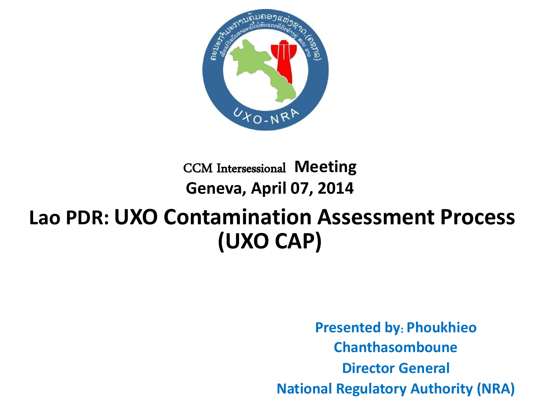

#### CCM Intersessional **Meeting Geneva, April 07, 2014**

#### **Lao PDR: UXO Contamination Assessment Process (UXO CAP)**

**Presented by**: **Phoukhieo Chanthasomboune Director General National Regulatory Authority (NRA)**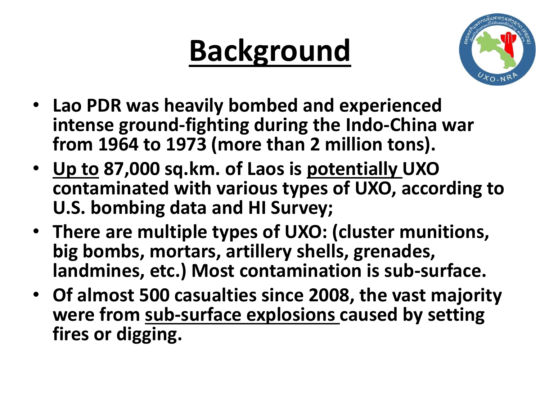#### **Background**



- **Lao PDR was heavily bombed and experienced intense ground-fighting during the Indo-China war from 1964 to 1973 (more than 2 million tons).**
- **Up to 87,000 sq.km. of Laos is potentially UXO contaminated with various types of UXO, according to U.S. bombing data and HI Survey;**
- **There are multiple types of UXO: (cluster munitions, big bombs, mortars, artillery shells, grenades, landmines, etc.) Most contamination is sub-surface.**
- **Of almost 500 casualties since 2008, the vast majority were from sub-surface explosions caused by setting fires or digging.**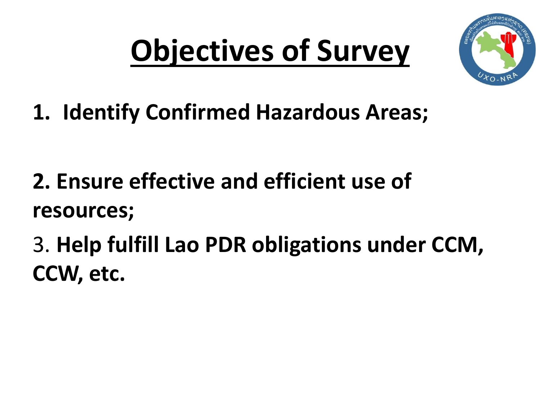## **Objectives of Survey**



**1. Identify Confirmed Hazardous Areas;**

- **2. Ensure effective and efficient use of resources;**
- 3. **Help fulfill Lao PDR obligations under CCM, CCW, etc.**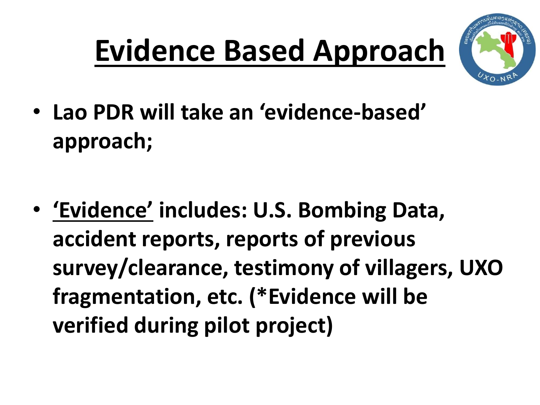### **Evidence Based Approach**



• **Lao PDR will take an 'evidence-based' approach;**

• **'Evidence' includes: U.S. Bombing Data, accident reports, reports of previous survey/clearance, testimony of villagers, UXO fragmentation, etc. (\*Evidence will be verified during pilot project)**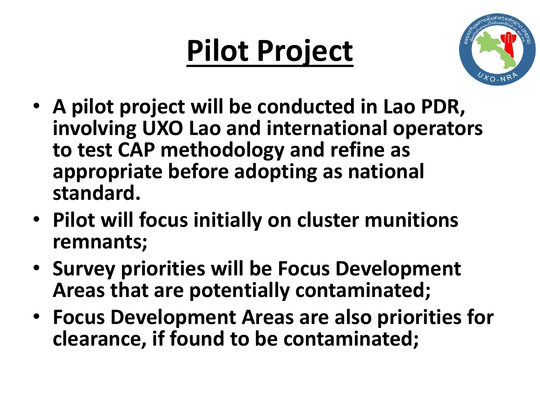#### **Pilot Project**



- **A pilot project will be conducted in Lao PDR, involving UXO Lao and international operators to test CAP methodology and refine as appropriate before adopting as national standard.**
- **Pilot will focus initially on cluster munitions remnants;**
- **Survey priorities will be Focus Development Areas that are potentially contaminated;**
- **Focus Development Areas are also priorities for clearance, if found to be contaminated;**